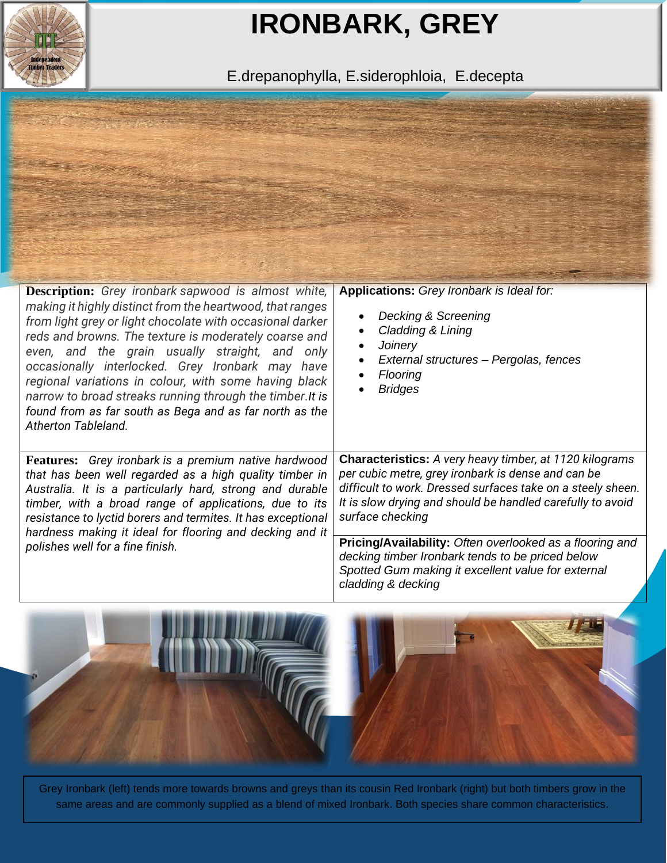

## **IRONBARK, GREY**

E.drepanophylla, E.siderophloia, E.decepta



| <b>Description:</b> Grey ironbark sapwood is almost white,<br>making it highly distinct from the heartwood, that ranges<br>from light grey or light chocolate with occasional darker<br>reds and browns. The texture is moderately coarse and<br>even, and the grain usually straight, and only<br>occasionally interlocked. Grey Ironbark may have<br>regional variations in colour, with some having black<br>narrow to broad streaks running through the timber. It is<br>found from as far south as Bega and as far north as the<br>Atherton Tableland. | <b>Applications:</b> Grey Ironbark is Ideal for:<br>Decking & Screening<br>Cladding & Lining<br>Joinery<br>External structures – Pergolas, fences<br>Flooring<br><b>Bridges</b>                                                                                                                                                                                                       |
|-------------------------------------------------------------------------------------------------------------------------------------------------------------------------------------------------------------------------------------------------------------------------------------------------------------------------------------------------------------------------------------------------------------------------------------------------------------------------------------------------------------------------------------------------------------|---------------------------------------------------------------------------------------------------------------------------------------------------------------------------------------------------------------------------------------------------------------------------------------------------------------------------------------------------------------------------------------|
| <b>Features:</b> Grey ironbark is a premium native hardwood<br>that has been well regarded as a high quality timber in<br>Australia. It is a particularly hard, strong and durable<br>timber, with a broad range of applications, due to its<br>resistance to lyctid borers and termites. It has exceptional<br>hardness making it ideal for flooring and decking and it<br>polishes well for a fine finish.                                                                                                                                                | <b>Characteristics:</b> A very heavy timber, at 1120 kilograms<br>per cubic metre, grey ironbark is dense and can be<br>difficult to work. Dressed surfaces take on a steely sheen.<br>It is slow drying and should be handled carefully to avoid<br>surface checking<br>Pricing/Availability: Often overlooked as a flooring and<br>decking timber Ironbark tends to be priced below |
|                                                                                                                                                                                                                                                                                                                                                                                                                                                                                                                                                             | Spotted Gum making it excellent value for external<br>cladding & decking                                                                                                                                                                                                                                                                                                              |



Grey Ironbark (left) tends more towards browns and greys than its cousin Red Ironbark (right) but both timbers grow in the same areas and are commonly supplied as a blend of mixed Ironbark. Both species share common characteristics.